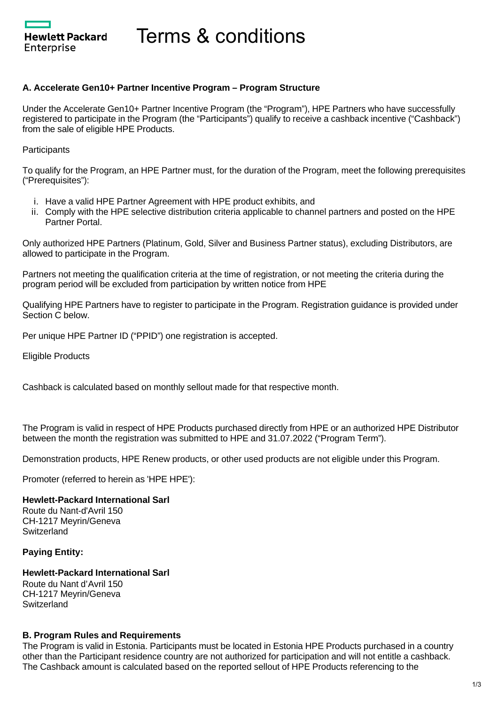**Hewlett Packard** Enterprise

# Terms & conditions

### **A. Accelerate Gen10+ Partner Incentive Program – Program Structure**

Under the Accelerate Gen10+ Partner Incentive Program (the "Program"), HPE Partners who have successfully registered to participate in the Program (the "Participants") qualify to receive a cashback incentive ("Cashback") from the sale of eligible HPE Products.

**Participants** 

To qualify for the Program, an HPE Partner must, for the duration of the Program, meet the following prerequisites ("Prerequisites"):

- i. Have a valid HPE Partner Agreement with HPE product exhibits, and
- ii. Comply with the HPE selective distribution criteria applicable to channel partners and posted on the HPE Partner Portal.

Only authorized HPE Partners (Platinum, Gold, Silver and Business Partner status), excluding Distributors, are allowed to participate in the Program.

Partners not meeting the qualification criteria at the time of registration, or not meeting the criteria during the program period will be excluded from participation by written notice from HPE

Qualifying HPE Partners have to register to participate in the Program. Registration guidance is provided under Section C below.

Per unique HPE Partner ID ("PPID") one registration is accepted.

Eligible Products

Cashback is calculated based on monthly sellout made for that respective month.

The Program is valid in respect of HPE Products purchased directly from HPE or an authorized HPE Distributor between the month the registration was submitted to HPE and 31.07.2022 ("Program Term").

Demonstration products, HPE Renew products, or other used products are not eligible under this Program.

Promoter (referred to herein as 'HPE HPE'):

#### **Hewlett-Packard International Sarl**

Route du Nant-d'Avril 150 CH-1217 Meyrin/Geneva **Switzerland** 

# **Paying Entity:**

#### **Hewlett-Packard International Sarl** Route du Nant d'Avril 150 CH-1217 Meyrin/Geneva **Switzerland**

# **B. Program Rules and Requirements**

The Program is valid in Estonia. Participants must be located in Estonia HPE Products purchased in a country other than the Participant residence country are not authorized for participation and will not entitle a cashback. The Cashback amount is calculated based on the reported sellout of HPE Products referencing to the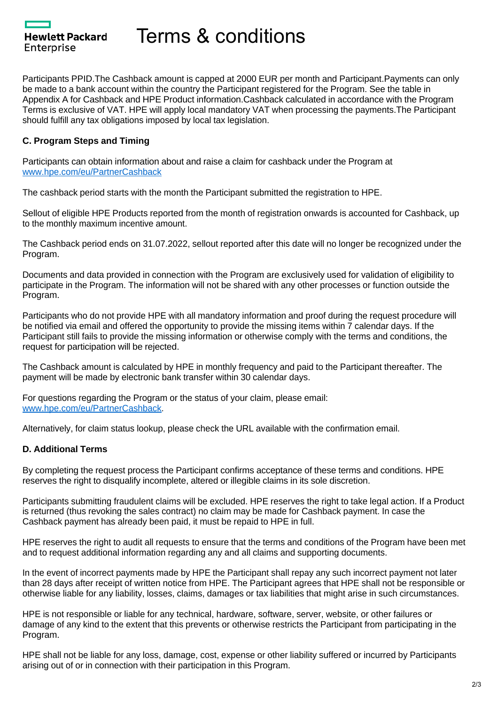Hewlett Packard Enterprise

Terms & conditions

Participants PPID.The Cashback amount is capped at 2000 EUR per month and Participant.Payments can only be made to a bank account within the country the Participant registered for the Program. See the table in Appendix A for Cashback and HPE Product information.Cashback calculated in accordance with the Program Terms is exclusive of VAT. HPE will apply local mandatory VAT when processing the payments.The Participant should fulfill any tax obligations imposed by local tax legislation.

# **C. Program Steps and Timing**

Participants can obtain information about and raise a claim for cashback under the Program at [www.hpe.com/eu/PartnerCashback](http://www.hpe.com/eu/PartnerCashback)

The cashback period starts with the month the Participant submitted the registration to HPE.

Sellout of eligible HPE Products reported from the month of registration onwards is accounted for Cashback, up to the monthly maximum incentive amount.

The Cashback period ends on 31.07.2022, sellout reported after this date will no longer be recognized under the Program.

Documents and data provided in connection with the Program are exclusively used for validation of eligibility to participate in the Program. The information will not be shared with any other processes or function outside the Program.

Participants who do not provide HPE with all mandatory information and proof during the request procedure will be notified via email and offered the opportunity to provide the missing items within 7 calendar days. If the Participant still fails to provide the missing information or otherwise comply with the terms and conditions, the request for participation will be rejected.

The Cashback amount is calculated by HPE in monthly frequency and paid to the Participant thereafter. The payment will be made by electronic bank transfer within 30 calendar days.

For questions regarding the Program or the status of your claim, please email: [www.hpe.com/eu/PartnerCashback](http://www.hpe.com/eu/PartnerCashback).

Alternatively, for claim status lookup, please check the URL available with the confirmation email.

# **D. Additional Terms**

By completing the request process the Participant confirms acceptance of these terms and conditions. HPE reserves the right to disqualify incomplete, altered or illegible claims in its sole discretion.

Participants submitting fraudulent claims will be excluded. HPE reserves the right to take legal action. If a Product is returned (thus revoking the sales contract) no claim may be made for Cashback payment. In case the Cashback payment has already been paid, it must be repaid to HPE in full.

HPE reserves the right to audit all requests to ensure that the terms and conditions of the Program have been met and to request additional information regarding any and all claims and supporting documents.

In the event of incorrect payments made by HPE the Participant shall repay any such incorrect payment not later than 28 days after receipt of written notice from HPE. The Participant agrees that HPE shall not be responsible or otherwise liable for any liability, losses, claims, damages or tax liabilities that might arise in such circumstances.

HPE is not responsible or liable for any technical, hardware, software, server, website, or other failures or damage of any kind to the extent that this prevents or otherwise restricts the Participant from participating in the Program.

HPE shall not be liable for any loss, damage, cost, expense or other liability suffered or incurred by Participants arising out of or in connection with their participation in this Program.